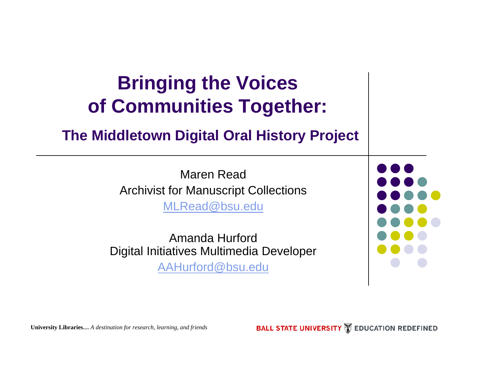### **Bringing the Voices of Communities Together: The Middletown Digital Oral History Project** Maren ReadArchivist for Manuscript Collections [MLRead@bsu.edu](mailto:MLRead@bsu.edu) Amanda HurfordDigital Initiatives Multimedia Developer [AAHurford@bsu.edu](mailto:AAHurford@bsu.edu)

**BALL STATE UNIVERSITY MEDUCATION REDEFINED** 

**University Libraries…** *A destination for research, learning, and friends*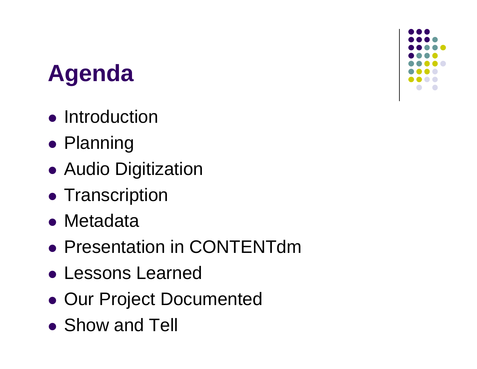### **Agenda**

- **•** Introduction
- Planning
- Audio Digitization
- **Transcription**
- Metadata
- **Presentation in CONTENTdm**
- Lessons Learned
- Our Project Documented
- Show and Tell

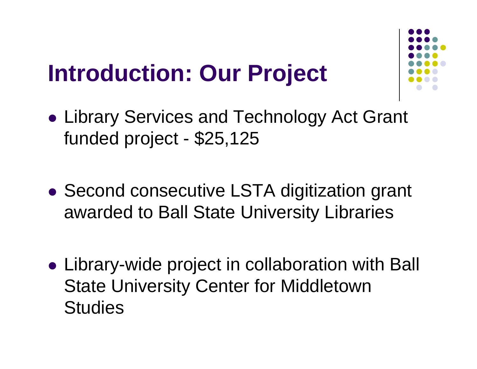### **Introduction: Our Project**



- $\bullet$  Library Services and Technology Act Grant funded project - \$25,125
- $\bullet$  Second consecutive LSTA digitization grant awarded to Ball State University Libraries
- Library-wide project in collaboration with Ball State University Center for Middletown **Studies**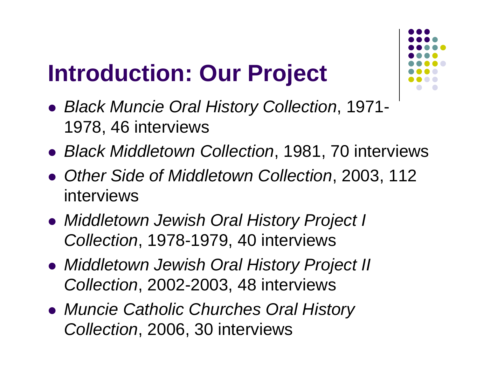### **Introduction: Our Project**



- z *Black Muncie Oral History Collection*, 1971- 1978, 46 interviews
- z *Black Middletown Collection*, 1981, 70 interviews
- **Other Side of Middletown Collection, 2003, 112** interviews
- z *Middletown Jewish Oral History Project I Collection*, 1978-1979, 40 interviews
- z *Middletown Jewish Oral History Project II Collection*, 2002-2003, 48 interviews
- z *Muncie Catholic Churches Oral History Collection*, 2006, 30 interviews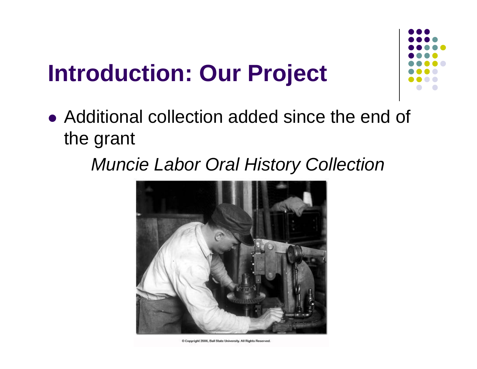### **Introduction: Our Project**



• Additional collection added since the end of the grant

### *Muncie Labor Oral History Collection*



C Copyright 2006, Ball State University. All Rights Reserved.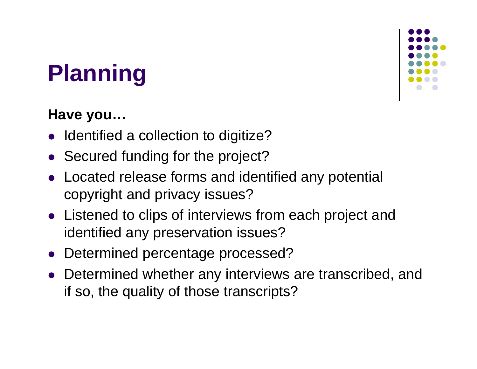# **Planning**

### **Have you…**

- Identified a collection to digitize?
- Secured funding for the project?
- Located release forms and identified any potential copyright and privacy issues?
- Listened to clips of interviews from each project and identified any preservation issues?
- $\bullet$ Determined percentage processed?
- Determined whether any interviews are transcribed, and if so, the quality of those transcripts?

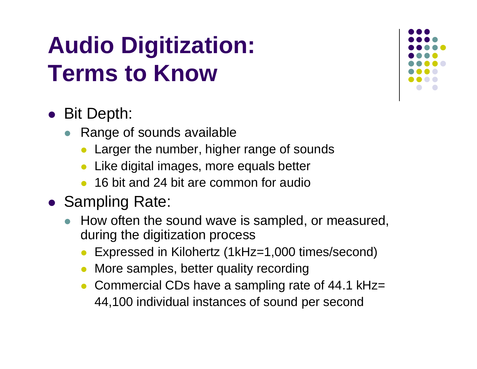### **Audio Digitization: Terms to Know**

### • Bit Depth:

- Range of sounds available
	- Larger the number, higher range of sounds
	- $\bullet$ Like digital images, more equals better
	- $\bullet$ 16 bit and 24 bit are common for audio
- Sampling Rate:
	- $\bullet$  How often the sound wave is sampled, or measured, during the digitization process
		- $\bullet$ Expressed in Kilohertz (1kHz=1,000 times/second)
		- $\bullet$ More samples, better quality recording
		- $\bullet$  Commercial CDs have a sampling rate of 44.1 kHz= 44,100 individual instances of sound per second

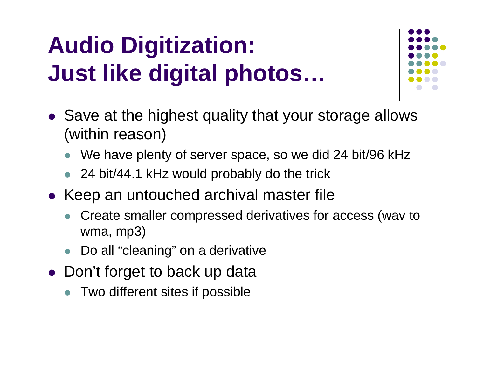# **Audio Digitization: Just like digital photos…**



- Save at the highest quality that your storage allows (within reason)
	- $\bullet$ We have plenty of server space, so we did 24 bit/96 kHz
	- $\bullet$ 24 bit/44.1 kHz would probably do the trick
- Keep an untouched archival master file
	- $\bullet$  Create smaller compressed derivatives for access (wav to wma, mp3)
	- $\bullet$ Do all "cleaning" on a derivative
- Don't forget to back up data
	- $\bullet$  Two different sites if possible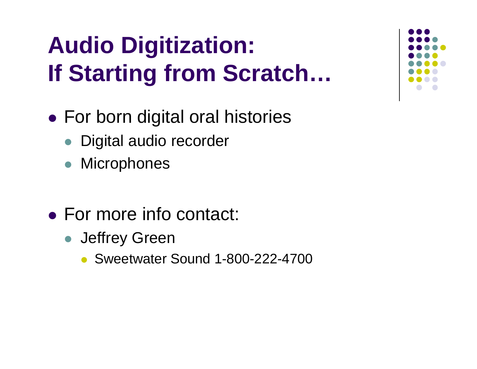# **Audio Digitization: If Starting from Scratch…**

- For born digital oral histories
	- Digital audio recorder
	- $\bullet$ **Microphones**
- For more info contact:
	- **Jeffrey Green** 
		- $\bullet$ Sweetwater Sound 1-800-222-4700

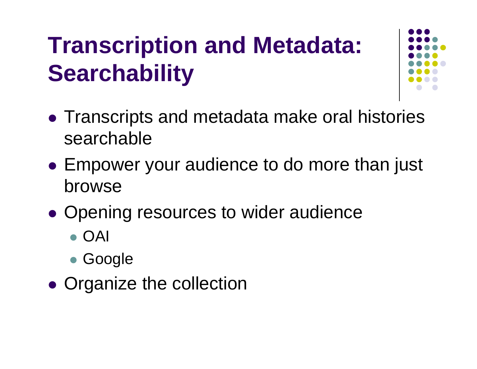# **Transcription and Metadata: Searchability**



- Transcripts and metadata make oral histories searchable
- Empower your audience to do more than just browse
- $\bullet$ • Opening resources to wider audience
	- z OAI
	- Google
- $\bullet$ • Organize the collection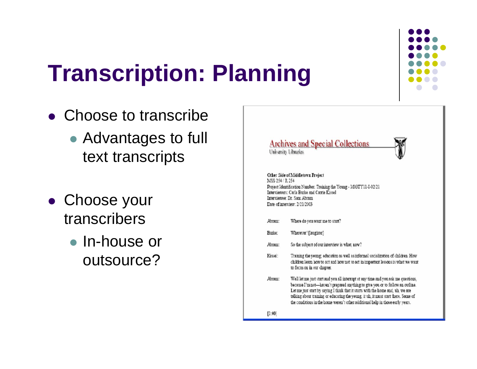

# **Transcription: Planning**

- Choose to transcribe
	- Advantages to full text transcripts
- Choose your transcribers
	- In-house or outsource?



### Other Side of Middletown Project MSS 254 / R 254 Project Identification Number: Training the Young - M03TY11-I-02/21 Interviewers: Carla Burke and Carrie Kissel Interviewee: Dr. Sam Abram Date of interview: 2/21/2003

- Where do you want me to start? Abram:
- Burke: Wherever! [laughter]
- So the subject of our interview is what, now? Abram:
- Training the young; education as well as informal socialization of children. How Kissel: children learn how to act and how not to act in important lessons is what we want to focus on in our chapter.
- Abram: Well let me just start and you all interrupt at any time and you ask me questions, because I'm not-haven't prepared anything to give you or to follow an outline. Let me just start by saying I think that it starts with the home and, uh, we are talking sbout training or educating the young it uh, it must start there. Some of the conditions in the home weren't other additional help in those early years.

 $[1:00]$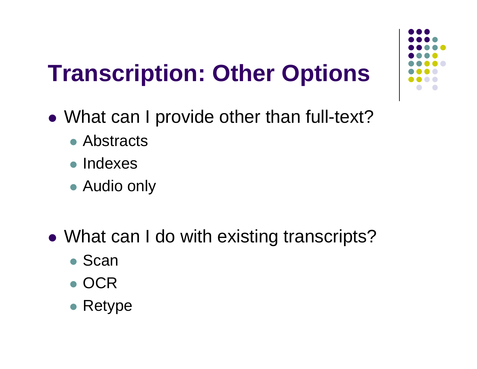## **Transcription: Other Options**

- What can I provide other than full-text?
	- Abstracts
	- Indexes
	- Audio only
- What can I do with existing transcripts?
	- Scan
	- OCR
	- $\bullet$  Retype

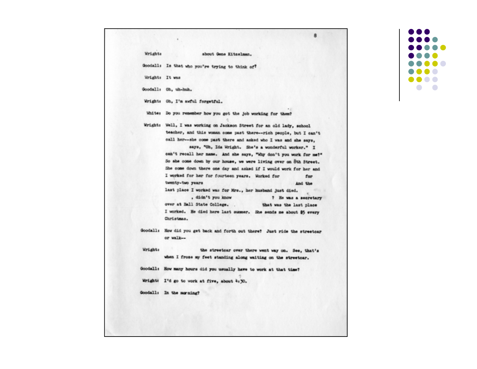about Gene Kitzelman.

角

Goodall: Is that who you're trying to think of?

Wrights It was

Goodall: Oh. uh-huh.

Wright: Oh, I'm awful forgetful.

White: Do you remember how you got the job working for them?

Wright: Well, I was working on Jackson Street for an old lady, school teacher, and this woman come past there--rich people, but I can't call her--she come past there and asked who I was and she says.

> says. "Oh, Ida Wright. She's a wonderful worker." I can't recall her name. And she says, "why don't you work for me?" So she come down by our house, we were living over on 8th Street. She come down there one day and asked if I would work for her and I worked for her for fourteen years. Worked for for tuenty-two years And the last place I worked was for Mrs., her husband just died.

> didn't you know ? He was a secretary over at Ball State College. . that was the last place

I worked. He died here last summer. She sends me about \$5 every Christmas.

Goodall: How did you get back and forth out there? Just ride the streetoar or walk-

Wordightte the streetcar over there went way on. See, that's when I froze my feet standing along waiting on the streetear.

Goodall: How many hours did you usually have to work at that time?

Wright: I'd go to work at five, about 4:30.

Goodall: In the morning?

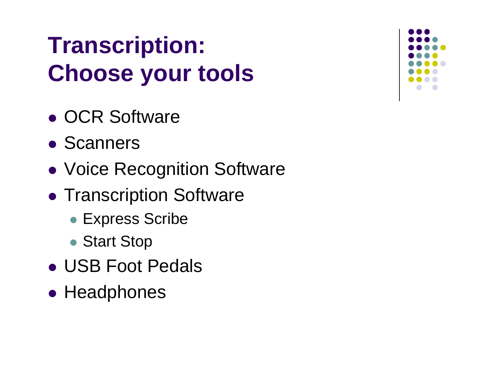# **Transcription: Choose your tools**

- OCR Software
- Scanners
- $\bullet$ Voice Recognition Software
- Transcription Software
	- Express Scribe
	- Start Stop
- USB Foot Pedals
- Headphones

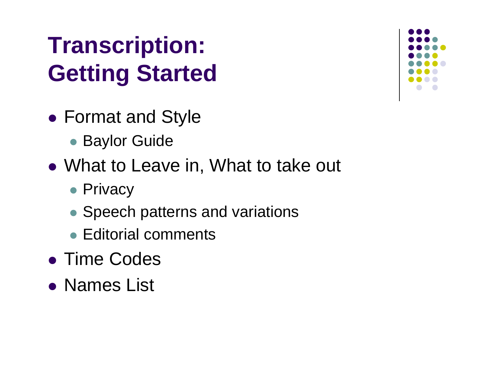# **Transcription: Getting Started**

- Format and Style
	- **Baylor Guide**
- What to Leave in, What to take out
	- **Privacy**
	- Speech patterns and variations
	- Editorial comments
- **Time Codes**
- Names List

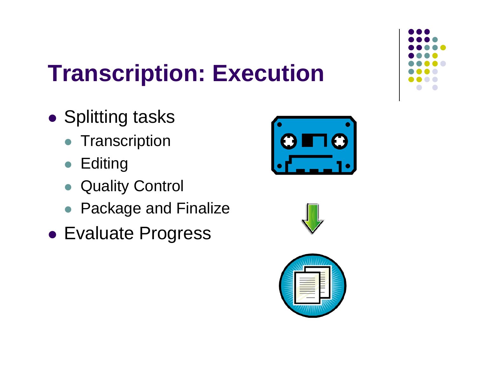

## **Transcription: Execution**

- $\bullet$ **• Splitting tasks** 
	- **Transcription**
	- $\bullet$ **Editing**
	- $\bullet$ Quality Control
	- Package and Finalize
- **Evaluate Progress**





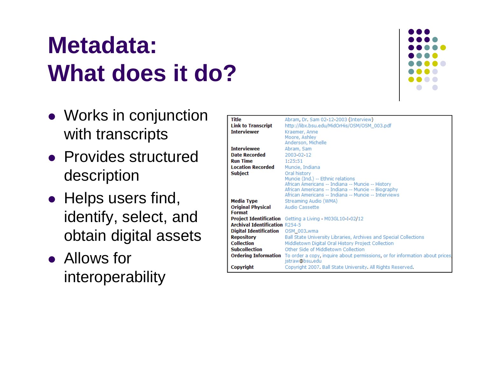### **Metadata: What does it do?**



- $\bullet\,$  Works in conjunction  $\bullet$ with transcripts
- Provides structured description
- $\bullet$  Helps users find, identify, select, and obtain digital assets
- Allows for interoperability

| Title                                 | Abram, Dr. Sam 02-12-2003 (Interview)                                                                    |
|---------------------------------------|----------------------------------------------------------------------------------------------------------|
| <b>Link to Transcript</b>             | http://libx.bsu.edu/MidOrHis/OSM/OSM_003.pdf                                                             |
| <b>Interviewer</b>                    | Kraemer, Anne                                                                                            |
|                                       | Moore, Ashley                                                                                            |
|                                       | Anderson, Michelle                                                                                       |
| <b>Interviewee</b>                    | Abram, Sam                                                                                               |
| <b>Date Recorded</b>                  | 2003-02-12                                                                                               |
| <b>Run Time</b>                       | 1:25:51                                                                                                  |
| <b>Location Recorded</b>              | Muncie, Indiana                                                                                          |
| <b>Subject</b>                        | Oral history                                                                                             |
|                                       | Muncie (Ind.) -- Ethnic relations                                                                        |
|                                       | African Americans -- Indiana -- Muncie -- History                                                        |
|                                       | African Americans -- Indiana -- Muncie -- Biography                                                      |
|                                       | African Americans -- Indiana -- Muncie -- Interviews                                                     |
| Media Type                            | Streaming Audio (WMA)                                                                                    |
| Original Physical                     | Audio Cassette                                                                                           |
| <b>Format</b>                         |                                                                                                          |
|                                       | <b>Project Identification</b> Getting a Living - M03GL10-I-02/12                                         |
| <b>Archival Identification R254-5</b> |                                                                                                          |
| Digital Identification  OSM_003.wma   |                                                                                                          |
| <b>Repository</b>                     | Ball State University Libraries, Archives and Special Collections                                        |
| <b>Collection</b>                     | Middletown Digital Oral History Project Collection                                                       |
| <b>Subcollection</b>                  | Other Side of Middletown Collection                                                                      |
|                                       | <b>Ordering Information</b> To order a copy, inquire about permissions, or for information about prices, |
|                                       | jstraw@bsu.edu                                                                                           |
| Copyright                             | Copyright 2007. Ball State University. All Rights Reserved.                                              |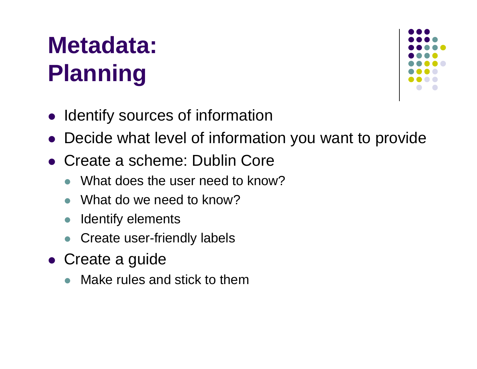# **Metadata: Planning**



- Identify sources of information
- Decide what level of information you want to provide
- Create a scheme: Dublin Core
	- $\bullet$ What does the user need to know?
	- $\bullet$ What do we need to know?
	- $\bullet$ Identify elements
	- $\bullet$ Create user-friendly labels
- Create a guide
	- $\bullet$ Make rules and stick to them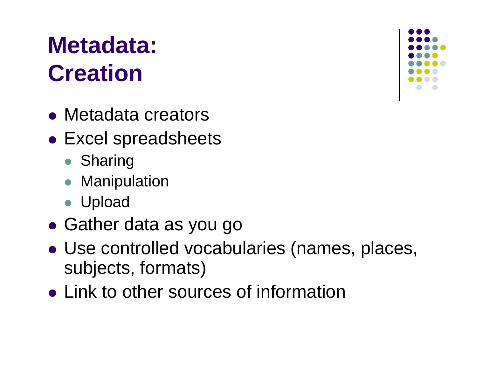### **Metadata: Creation**

- Metadata creators
- Excel spreadsheets
	- Sharing
	- $\bullet$ **Manipulation**
	- Upload
- $\bullet$ Gather data as you go
- Use controlled vocabularies (names, places, subjects, formats)
- Link to other sources of information

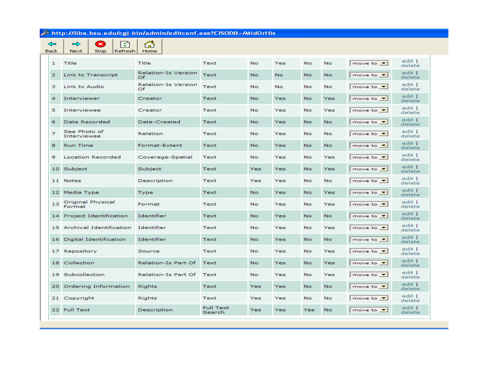$S<sub>top</sub>$  $\boxed{\bullet}$  $\Rightarrow$  $\Leftrightarrow$ **Back**  $Next$ 

 $\triangle$  $Refresh$  Home

|                  |                             |                           |                            |           |           |           |           |                                  | edit             |
|------------------|-----------------------------|---------------------------|----------------------------|-----------|-----------|-----------|-----------|----------------------------------|------------------|
| $\mathbf{1}$     | Title                       | Title                     | Text                       | No.       | Yes       | <b>No</b> | No.       | move to $\vert \mathbf{v} \vert$ | delete           |
| 2                | Link to Transcript          | Relation-Is Version<br>Of | Text                       | No.       | <b>No</b> | <b>No</b> | <b>No</b> | move to $\blacktriangledown$     | edit  <br>delete |
| з                | Link to Audio               | Relation-Is Version<br>Of | Text                       | <b>No</b> | <b>No</b> | <b>No</b> | <b>No</b> | move to $\blacktriangledown$     | edit  <br>delete |
| $\boldsymbol{4}$ | Interviewer                 | Creator                   | Text                       | No.       | Yes       | <b>No</b> | Yes       | move to $\blacktriangledown$     | edit  <br>delete |
| 5                | Interviewee                 | Creator                   | Text                       | No.       | Yes       | <b>No</b> | Yes       | move to $\blacktriangledown$     | edit  <br>delete |
| 6                | Date Recorded               | Date-Created              | Text                       | No.       | Yes       | <b>No</b> | No.       | move to $\vert \mathbf{v} \vert$ | edit  <br>delete |
| z.               | See Photo of<br>Interviewee | Relation                  | Text                       | No.       | Yes       | <b>No</b> | <b>No</b> | move to $\tau$                   | edit  <br>delete |
| 8                | <b>Run Time</b>             | Format-Extent             | Text                       | No.       | Yes       | No        | <b>No</b> | move to $\blacktriangledown$     | edit I<br>delete |
| 9                | <b>Location Recorded</b>    | Coverage-Spatial          | Text                       | No.       | Yes       | <b>No</b> | Yes       | move to $\blacktriangledown$     | edit  <br>delete |
|                  | 10 Subject                  | Subject                   | Text                       | Yes       | Yes       | <b>No</b> | Yes       | move to $\vert \mathbf{v} \vert$ | edit I<br>delete |
|                  | 11 Notes                    | Description               | Text                       | Yes       | Yes       | No        | <b>No</b> | move to $\blacktriangledown$     | edit  <br>delete |
|                  | 12 Media Type               | Type                      | Text                       | No.       | Yes       | No        | Yes       | move to $\blacktriangledown$     | edit  <br>delete |
| 13               | Original Physical<br>Format | Format                    | Text                       | <b>No</b> | Yes       | <b>No</b> | Yes       | move to $\blacktriangledown$     | edit  <br>delete |
|                  | 14 Project Identification   | Identifier                | Text                       | No.       | Yes       | <b>No</b> | <b>No</b> | move to $\blacktriangledown$     | edit  <br>delete |
|                  | 15 Archival Identification  | Identifier                | Text                       | No.       | Yes       | <b>No</b> | Yes       | move to $\blacktriangledown$     | edit  <br>delete |
| 16               | Digital Identification      | Identifier                | Text                       | No.       | Yes       | <b>No</b> | No.       | move to $\blacktriangledown$     | edit  <br>delete |
|                  | 17 Repository               | Source                    | Text                       | No.       | Yes       | No        | Yes       | move to $\mathbf{v}$             | edit  <br>delete |
| 18               | Collection                  | Relation-Is Part Of       | Text                       | No.       | Yes       | No        | Yes       | move to $\blacktriangledown$     | edit  <br>delete |
|                  | 19 Subcollection            | Relation-Is Part Of       | Text                       | No.       | Yes       | No        | Yes       | move to $\blacktriangledown$     | edit  <br>delete |
| 20               | Ordering Information        | Rights                    | Text                       | Yes       | Yes       | <b>No</b> | <b>No</b> | move to $\blacktriangledown$     | edit  <br>delete |
|                  | 21 Copyright                | Rights                    | Text                       | Yes       | Yes       | <b>No</b> | <b>No</b> | move to $\blacktriangledown$     | edit  <br>delete |
|                  | 22 Full Text                | Description               | <b>Full Text</b><br>Search | Yes       | Yes       | Yes       | <b>No</b> | move to $\blacktriangledown$     | edit  <br>delete |
|                  |                             |                           |                            |           |           |           |           |                                  |                  |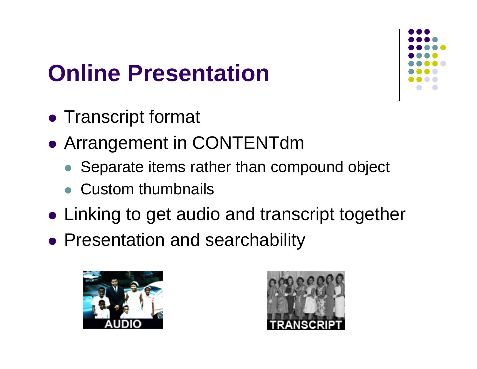## **Online Presentation**



- Transcript format
- $\bullet$  Arrangement in CONTENTdm
	- Separate items rather than compound object
	- Custom thumbnails
- Linking to get audio and transcript together
- Presentation and searchability



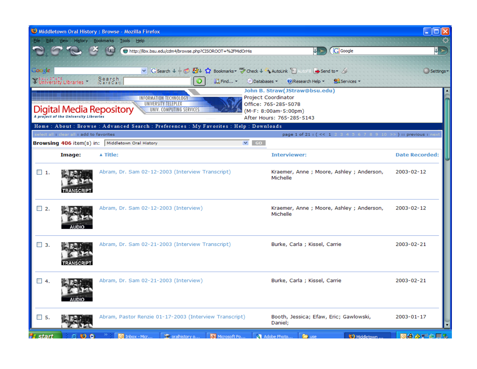|                      |                                                                                                                                                                                                                                                    | Middletown Oral History: Browse - Mozilla Firefox                                                                                 |                                                                               |                       |  |  |  |
|----------------------|----------------------------------------------------------------------------------------------------------------------------------------------------------------------------------------------------------------------------------------------------|-----------------------------------------------------------------------------------------------------------------------------------|-------------------------------------------------------------------------------|-----------------------|--|--|--|
|                      | Edit View History                                                                                                                                                                                                                                  | Bookmarks<br>Tools<br>Help                                                                                                        |                                                                               |                       |  |  |  |
|                      |                                                                                                                                                                                                                                                    | http://libx.bsu.edu/cdm4/browse.php?CISOROOT=%2FMidOrHis                                                                          | <b>G</b> Google                                                               |                       |  |  |  |
| Coogle               | <b>WEALL STATE</b><br>Williversity Libraries                                                                                                                                                                                                       | V G Search V + B & V & Bookmarks > 45 Check V \ AutoLink E AutoFill & Send to > 6<br>Search<br>(Card Cat)<br><b>武 Find</b> -<br>Э | Databases<br>(2) Research Help<br>Services -<br>John B. Straw(JStraw@bsu.edu) | Settings -            |  |  |  |
|                      | Project Coordinator<br>INFORMATION TECHNOLOGY<br>UNIVERSITY TELEPLEX<br>Office: 765-285-5078<br>Digital Media Repository<br>UNIV. COMPUTING SERVICES<br>(M-F: 8:00am-5:00pm)<br>A project of the University Libraries<br>After Hours: 765-285-5143 |                                                                                                                                   |                                                                               |                       |  |  |  |
|                      | select all : clear all : add to favorites                                                                                                                                                                                                          | Home: About: Browse: Advanced Search: Preferences: My Favorites: Help: Downloads                                                  | page 1 of 21 : (<< 1 2 3 4 5 6 7 8 9 10 >>) :: previous : nex                 |                       |  |  |  |
|                      |                                                                                                                                                                                                                                                    | Browsing 406 item(s) in: Middletown Oral History                                                                                  | $\vee$ GO                                                                     |                       |  |  |  |
|                      | Image:                                                                                                                                                                                                                                             | ▲ Title:                                                                                                                          | <b>Interviewer:</b>                                                           | <b>Date Recorded:</b> |  |  |  |
| $\Box$ 1.            | <b>TRANSCRIPT</b>                                                                                                                                                                                                                                  | Abram, Dr. Sam 02-12-2003 (Interview Transcript)                                                                                  | Kraemer, Anne ; Moore, Ashley ; Anderson,<br>Michelle                         | 2003-02-12            |  |  |  |
| $\Box$ 2.            | AUDIO                                                                                                                                                                                                                                              | Abram, Dr. Sam 02-12-2003 (Interview)                                                                                             | Kraemer, Anne ; Moore, Ashley ; Anderson,<br>Michelle                         | 2003-02-12            |  |  |  |
| $\Box$ 3.            | <b>TRANSCRIPT</b>                                                                                                                                                                                                                                  | Abram, Dr. Sam 02-21-2003 (Interview Transcript)                                                                                  | Burke, Carla; Kissel, Carrie                                                  | 2003-02-21            |  |  |  |
| $\Box$ 4.            |                                                                                                                                                                                                                                                    | Abram, Dr. Sam 02-21-2003 (Interview)                                                                                             | Burke, Carla ; Kissel, Carrie                                                 | 2003-02-21            |  |  |  |
| $\Box$ 5.            |                                                                                                                                                                                                                                                    | Abram, Pastor Renzie 01-17-2003 (Interview Transcript)                                                                            | Booth, Jessica; Efaw, Eric; Gawlowski,<br>Daniel;                             | 2003-01-17            |  |  |  |
| <del>∎</del> ∃ start | စေစ                                                                                                                                                                                                                                                | <sup>5</sup> oralhistory o<br>$\boxed{\odot}$ Inbox - Micr<br>Microsoft Po                                                        | <b>43</b> Middletown.<br>Adobe Photo.<br><b>E</b> use                         | 回会参野の真る               |  |  |  |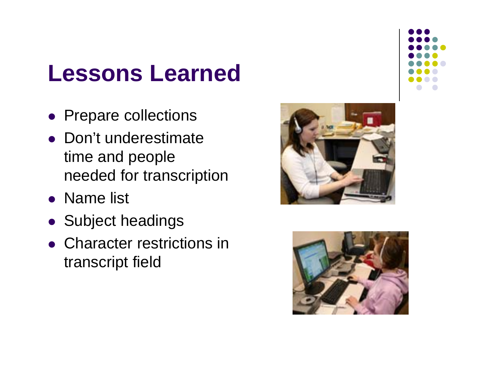### **Lessons Learned**

- Prepare collections
- Don't underestimate time and people needed for transcription
- Name list
- Subject headings
- Character restrictions in transcript field





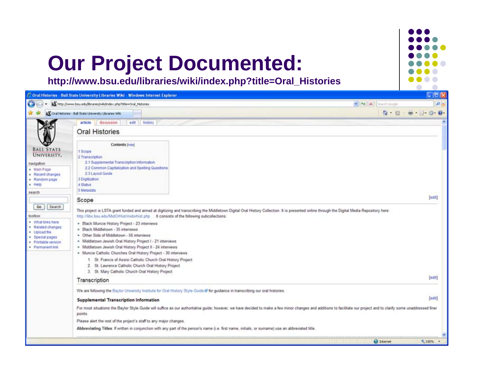### **Our Project Documented:**

**http://www.bsu.edu/libraries/wiki/index.php?title=Oral\_Histories**

|                                                                                                                                                  | C. Oral Histories - Ball State University Libraries Wild - Windows Internet Explorer                                                                                                                                                                                                                                                                                                                                                                                                                                                                                                                                                                                                            | $\Box$ ob                       |
|--------------------------------------------------------------------------------------------------------------------------------------------------|-------------------------------------------------------------------------------------------------------------------------------------------------------------------------------------------------------------------------------------------------------------------------------------------------------------------------------------------------------------------------------------------------------------------------------------------------------------------------------------------------------------------------------------------------------------------------------------------------------------------------------------------------------------------------------------------------|---------------------------------|
|                                                                                                                                                  | Micro//www.bsu.edu/braries/wki/index.php?title=Oral_Histories                                                                                                                                                                                                                                                                                                                                                                                                                                                                                                                                                                                                                                   | $\rho$ .<br>v + X Search Geogle |
|                                                                                                                                                  | Coral Histories - Ball State University Libraries Will                                                                                                                                                                                                                                                                                                                                                                                                                                                                                                                                                                                                                                          | $m - 0 0$<br>合 回                |
|                                                                                                                                                  | article<br>discussion<br>edit.<br>history<br><b>Oral Histories</b>                                                                                                                                                                                                                                                                                                                                                                                                                                                                                                                                                                                                                              |                                 |
| <b>BALL STATE</b><br>UNIVERSITY.<br>navigation<br>. Main Page<br>- Recent changes<br>· Random page<br>· Help<br>search                           | Contents [hide]<br>1 Scope<br>2 Transcription<br>2.1 Supplemental Transcription Information<br>2.2 Common Capitalization and Spelling Questions<br>2.3 Layout Guide<br>3 Digitization<br>4 Status<br>5 Metadata                                                                                                                                                                                                                                                                                                                                                                                                                                                                                 |                                 |
|                                                                                                                                                  | Scope                                                                                                                                                                                                                                                                                                                                                                                                                                                                                                                                                                                                                                                                                           | edit                            |
| Go<br>Search<br>toolbax<br>· What links here<br>* Related changes<br>· Upload file<br>. Special pages<br>· Printable version<br>· Permanent link | This project is LSTA grant funded and aimed at digitizing and transcribing the Middletown Digital Oral History Collection. It is presented online through the Digital Media Repository here:<br>http://libx.bsu.edu/MdOrHist/midorhist.php _ It consists of the following subcollections:<br>· Black Muncie History Project - 23 interviews<br>· Black Middletown - 35 interviews<br>- Other Side of Middletown - 56 interviews<br>- Middletown Jewish Oral History Project I - 21 interviews<br>- Middletown Jewish Oral History Project II - 24 interviews<br>* Muncie Catholic Churches Oral History Project - 30 intensews<br>1. St. Francis of Assisi Catholic Church Oral History Project |                                 |
|                                                                                                                                                  | 2. St. Lawrence Catholic Church Oral History Project<br>3. St. Mary Catholic Church Oral History Project                                                                                                                                                                                                                                                                                                                                                                                                                                                                                                                                                                                        |                                 |
|                                                                                                                                                  | Transcription                                                                                                                                                                                                                                                                                                                                                                                                                                                                                                                                                                                                                                                                                   | [461]                           |
|                                                                                                                                                  | We are following the Baylor University Institute for Oral History Style Guide @ for guidance in transcribing our oral histories.<br><b>Supplemental Transcription Information</b><br>For most situations the Baylor Style Guide will suffice as our authoritative guide; however, we have decided to make a few minor changes and additions to facilitate our project and to clarify some unaddressed finer<br>points.<br>Please alert the rest of the project's staff to any major changes.                                                                                                                                                                                                    | [451]                           |
|                                                                                                                                                  | Abbreviating Titles: If written in conjunction with any part of the person's name (i.e. first name, initials, or sumame) use an abbreviated title.                                                                                                                                                                                                                                                                                                                                                                                                                                                                                                                                              |                                 |
|                                                                                                                                                  |                                                                                                                                                                                                                                                                                                                                                                                                                                                                                                                                                                                                                                                                                                 | <b>C</b> Internet<br>", 100% -  |